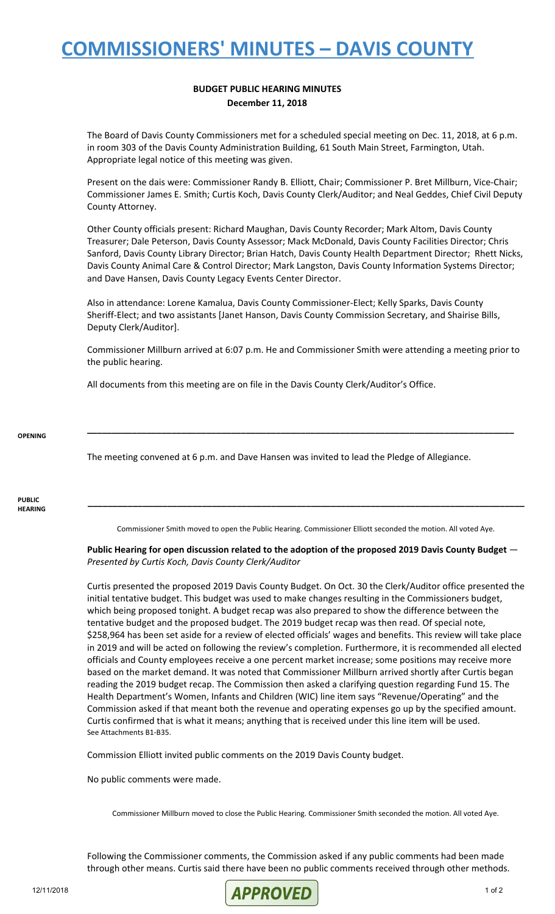## **COMMISSIONERS' MINUTES – DAVIS COUNTY**

### **BUDGET PUBLIC HEARING MINUTES December 11, 2018**

The Board of Davis County Commissioners met for a scheduled special meeting on Dec. 11, 2018, at 6 p.m. in room 303 of the Davis County Administration Building, 61 South Main Street, Farmington, Utah. Appropriate legal notice of this meeting was given.

Present on the dais were: Commissioner Randy B. Elliott, Chair; Commissioner P. Bret Millburn, Vice-Chair; Commissioner James E. Smith; Curtis Koch, Davis County Clerk/Auditor; and Neal Geddes, Chief Civil Deputy County Attorney.

Other County officials present: Richard Maughan, Davis County Recorder; Mark Altom, Davis County Treasurer; Dale Peterson, Davis County Assessor; Mack McDonald, Davis County Facilities Director; Chris Sanford, Davis County Library Director; Brian Hatch, Davis County Health Department Director; Rhett Nicks, Davis County Animal Care & Control Director; Mark Langston, Davis County Information Systems Director; and Dave Hansen, Davis County Legacy Events Center Director.

Also in attendance: Lorene Kamalua, Davis County Commissioner-Elect; Kelly Sparks, Davis County Sheriff-Elect; and two assistants [Janet Hanson, Davis County Commission Secretary, and Shairise Bills, Deputy Clerk/Auditor].

Commissioner Millburn arrived at 6:07 p.m. He and Commissioner Smith were attending a meeting prior to the public hearing.

**\_\_\_\_\_\_\_\_\_\_\_\_\_\_\_\_\_\_\_\_\_\_\_\_\_\_\_\_\_\_\_\_\_\_\_\_\_\_\_\_\_\_\_\_\_\_\_\_\_\_\_\_\_\_\_\_\_\_\_\_\_\_\_\_\_\_\_\_\_\_\_\_\_\_\_\_\_\_\_\_\_\_\_\_\_\_**

All documents from this meeting are on file in the Davis County Clerk/Auditor's Office.

#### **OPENING**

The meeting convened at 6 p.m. and Dave Hansen was invited to lead the Pledge of Allegiance.

**PUBLIC HEARING**

Commissioner Smith moved to open the Public Hearing. Commissioner Elliott seconded the motion. All voted Aye.

**\_\_\_\_\_\_\_\_\_\_\_\_\_\_\_\_\_\_\_\_\_\_\_\_\_\_\_\_\_\_\_\_\_\_\_\_\_\_\_\_\_\_\_\_\_\_\_\_\_\_\_\_\_\_\_\_\_\_\_\_\_\_\_\_\_\_\_\_\_\_\_\_\_\_\_\_\_\_\_\_\_\_\_\_\_\_\_\_**

### **Public Hearing for open discussion related to the adoption of the proposed 2019 Davis County Budget** — *Presented by Curtis Koch, Davis County Clerk/Auditor*

Curtis presented the proposed 2019 Davis County Budget. On Oct. 30 the Clerk/Auditor office presented the initial tentative budget. This budget was used to make changes resulting in the Commissioners budget, which being proposed tonight. A budget recap was also prepared to show the difference between the tentative budget and the proposed budget. The 2019 budget recap was then read. Of special note, \$258,964 has been set aside for a review of elected officials' wages and benefits. This review will take place in 2019 and will be acted on following the review's completion. Furthermore, it is recommended all elected officials and County employees receive a one percent market increase; some positions may receive more based on the market demand. It was noted that Commissioner Millburn arrived shortly after Curtis began reading the 2019 budget recap. The Commission then asked a clarifying question regarding Fund 15. The Health Department's Women, Infants and Children (WIC) line item says "Revenue/Operating" and the Commission asked if that meant both the revenue and operating expenses go up by the specified amount. Curtis confirmed that is what it means; anything that is received under this line item will be used. See Attachments B1-B35.

Commission Elliott invited public comments on the 2019 Davis County budget.

No public comments were made.

Commissioner Millburn moved to close the Public Hearing. Commissioner Smith seconded the motion. All voted Aye.

Following the Commissioner comments, the Commission asked if any public comments had been made through other means. Curtis said there have been no public comments received through other methods.